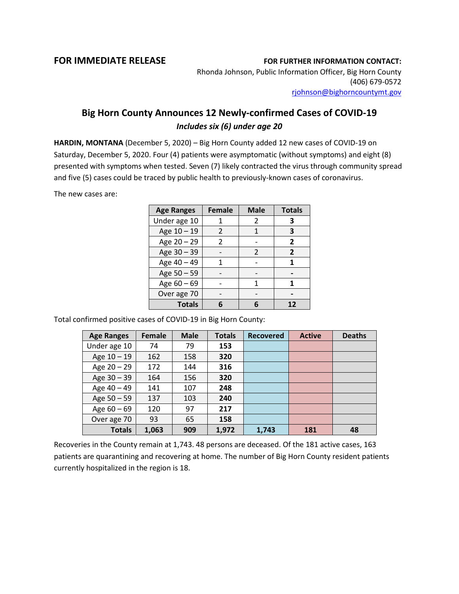## **FOR IMMEDIATE RELEASE FOR FURTHER INFORMATION CONTACT:**

Rhonda Johnson, Public Information Officer, Big Horn County (406) 679-0572 [rjohnson@bighorncountymt.gov](mailto:rjohnson@bighorncountymt.gov)

## **Big Horn County Announces 12 Newly-confirmed Cases of COVID-19** *Includes six (6) under age 20*

**HARDIN, MONTANA** (December 5, 2020) – Big Horn County added 12 new cases of COVID-19 on Saturday, December 5, 2020. Four (4) patients were asymptomatic (without symptoms) and eight (8) presented with symptoms when tested. Seven (7) likely contracted the virus through community spread and five (5) cases could be traced by public health to previously-known cases of coronavirus.

The new cases are:

| <b>Age Ranges</b> | <b>Female</b> | <b>Male</b>   | <b>Totals</b>  |
|-------------------|---------------|---------------|----------------|
| Under age 10      |               | 2             | 3              |
| Age 10 - 19       | 2             |               | 3              |
| Age 20 - 29       | $\mathcal{P}$ |               | $\overline{2}$ |
| Age 30 - 39       |               | $\mathcal{P}$ | $\mathbf{2}$   |
| Age 40 - 49       |               |               |                |
| Age 50 - 59       |               |               |                |
| Age 60 - 69       |               | 1             |                |
| Over age 70       |               |               |                |
| <b>Totals</b>     |               |               |                |

Total confirmed positive cases of COVID-19 in Big Horn County:

| <b>Age Ranges</b> | Female | <b>Male</b> | <b>Totals</b> | <b>Recovered</b> | <b>Active</b> | <b>Deaths</b> |
|-------------------|--------|-------------|---------------|------------------|---------------|---------------|
| Under age 10      | 74     | 79          | 153           |                  |               |               |
| Age 10 - 19       | 162    | 158         | 320           |                  |               |               |
| Age 20 - 29       | 172    | 144         | 316           |                  |               |               |
| Age $30 - 39$     | 164    | 156         | 320           |                  |               |               |
| Age 40 - 49       | 141    | 107         | 248           |                  |               |               |
| Age 50 - 59       | 137    | 103         | 240           |                  |               |               |
| Age $60 - 69$     | 120    | 97          | 217           |                  |               |               |
| Over age 70       | 93     | 65          | 158           |                  |               |               |
| <b>Totals</b>     | 1,063  | 909         | 1,972         | 1,743            | 181           | 48            |

Recoveries in the County remain at 1,743. 48 persons are deceased. Of the 181 active cases, 163 patients are quarantining and recovering at home. The number of Big Horn County resident patients currently hospitalized in the region is 18.